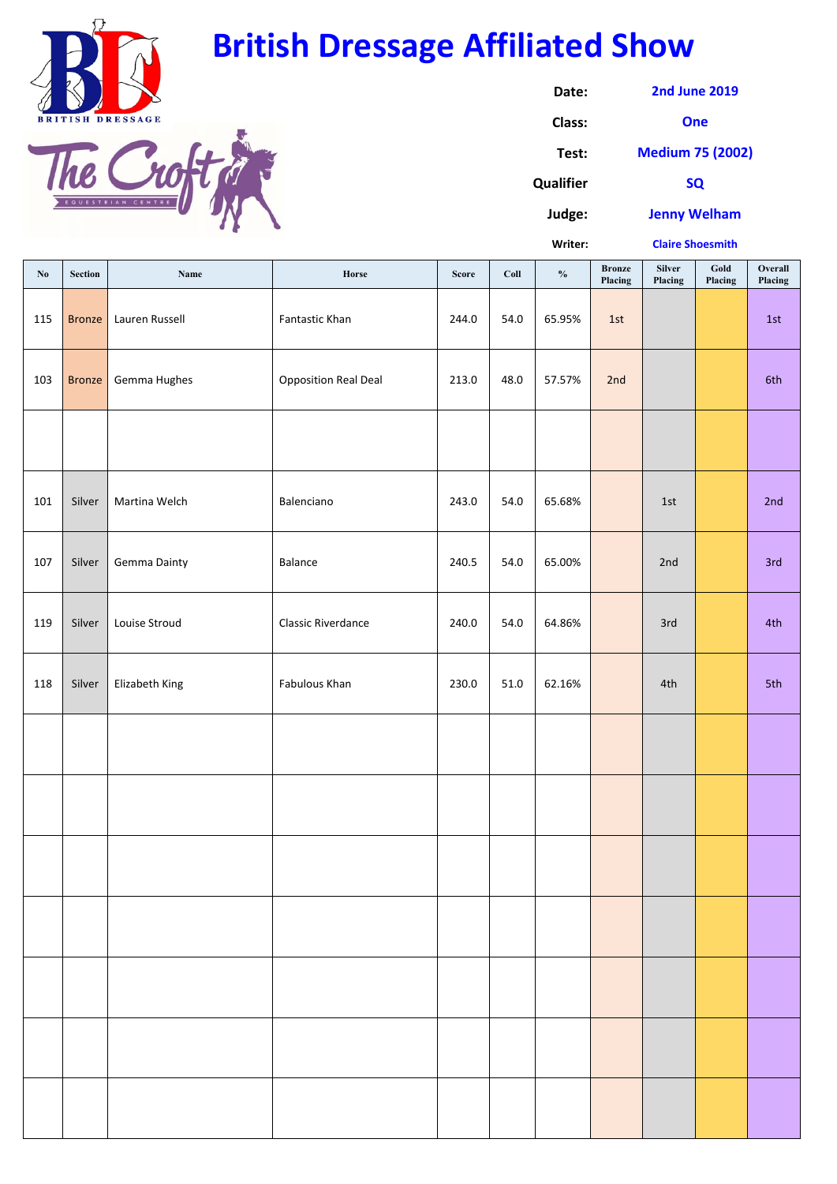**Writer:**

| $\mathbf{N}\mathbf{o}$ | <b>Section</b> | Name                | Horse                       | <b>Score</b> | Coll | $\frac{0}{0}$ | <b>Bronze</b><br>Placing | Silver<br>Placing | Gold<br>Placing | Overall<br>Placing |
|------------------------|----------------|---------------------|-----------------------------|--------------|------|---------------|--------------------------|-------------------|-----------------|--------------------|
| 115                    | <b>Bronze</b>  | Lauren Russell      | Fantastic Khan              | 244.0        | 54.0 | 65.95%        | 1st                      |                   |                 | 1st                |
| 103                    | <b>Bronze</b>  | Gemma Hughes        | <b>Opposition Real Deal</b> | 213.0        | 48.0 | 57.57%        | 2nd                      |                   |                 | 6th                |
|                        |                |                     |                             |              |      |               |                          |                   |                 |                    |
| 101                    | Silver         | Martina Welch       | Balenciano                  | 243.0        | 54.0 | 65.68%        |                          | 1st               |                 | 2nd                |
| 107                    | Silver         | <b>Gemma Dainty</b> | Balance                     | 240.5        | 54.0 | 65.00%        |                          | 2nd               |                 | 3rd                |
| 119                    | Silver         | Louise Stroud       | <b>Classic Riverdance</b>   | 240.0        | 54.0 | 64.86%        |                          | 3rd               |                 | 4th                |
| 118                    | Silver         | Elizabeth King      | Fabulous Khan               | 230.0        | 51.0 | 62.16%        |                          | 4th               |                 | 5th                |
|                        |                |                     |                             |              |      |               |                          |                   |                 |                    |
|                        |                |                     |                             |              |      |               |                          |                   |                 |                    |
|                        |                |                     |                             |              |      |               |                          |                   |                 |                    |
|                        |                |                     |                             |              |      |               |                          |                   |                 |                    |
|                        |                |                     |                             |              |      |               |                          |                   |                 |                    |
|                        |                |                     |                             |              |      |               |                          |                   |                 |                    |
|                        |                |                     |                             |              |      |               |                          |                   |                 |                    |

| Date:            | <b>2nd June 2019</b>    |  |  |  |  |
|------------------|-------------------------|--|--|--|--|
| Class:           | One                     |  |  |  |  |
| Test:            | <b>Medium 75 (2002)</b> |  |  |  |  |
| <b>Qualifier</b> | <b>SQ</b>               |  |  |  |  |
| Judge:           | <b>Jenny Welham</b>     |  |  |  |  |

**Claire Shoesmith**



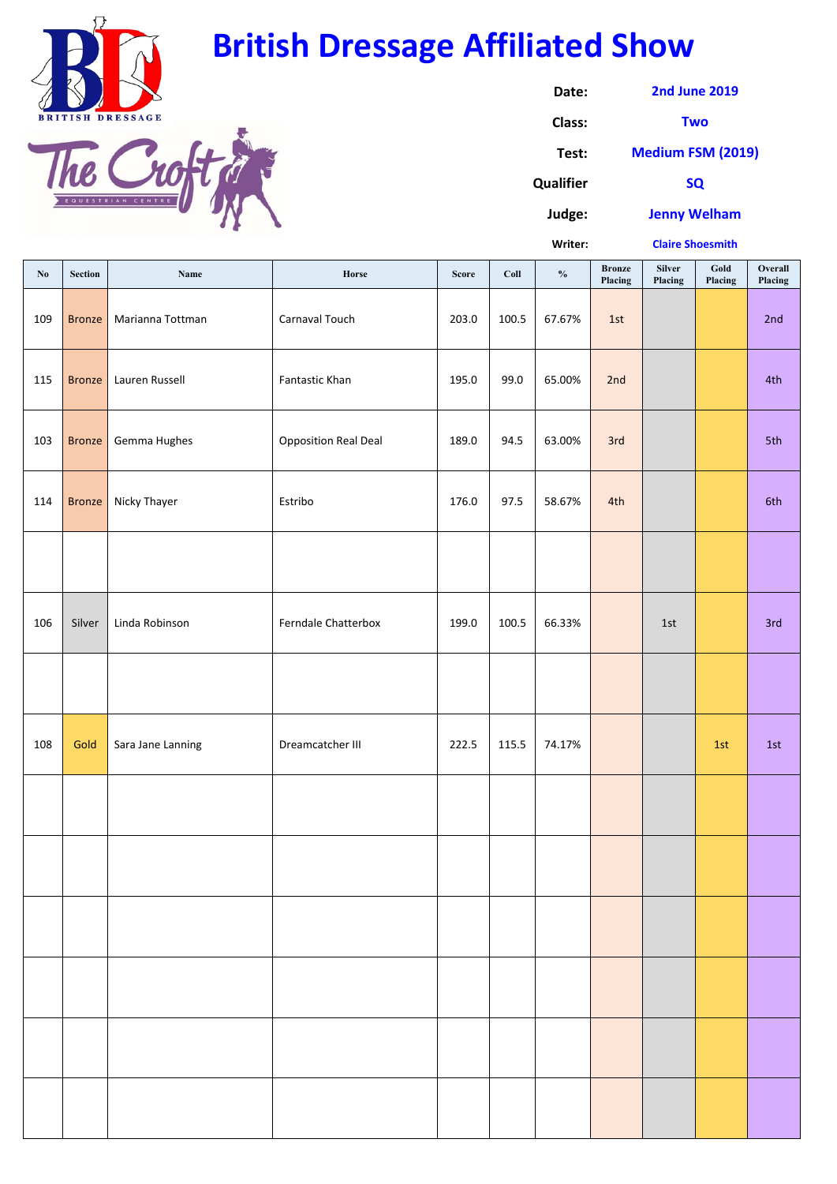**Writer:**

| $\mathbf{N}\mathbf{0}$ | <b>Section</b> | Name              | Horse                       | <b>Score</b> | Coll  | $\frac{0}{0}$ | <b>Bronze</b><br>Placing | <b>Silver</b><br>Placing | Gold<br>Placing | Overall<br>Placing |
|------------------------|----------------|-------------------|-----------------------------|--------------|-------|---------------|--------------------------|--------------------------|-----------------|--------------------|
| 109                    | <b>Bronze</b>  | Marianna Tottman  | Carnaval Touch              | 203.0        | 100.5 | 67.67%        | 1st                      |                          |                 | 2nd                |
| 115                    | <b>Bronze</b>  | Lauren Russell    | Fantastic Khan              | 195.0        | 99.0  | 65.00%        | 2nd                      |                          |                 | 4th                |
| 103                    | <b>Bronze</b>  | Gemma Hughes      | <b>Opposition Real Deal</b> | 189.0        | 94.5  | 63.00%        | 3rd                      |                          |                 | 5th                |
| 114                    | <b>Bronze</b>  | Nicky Thayer      | Estribo                     | 176.0        | 97.5  | 58.67%        | 4th                      |                          |                 | 6th                |
|                        |                |                   |                             |              |       |               |                          |                          |                 |                    |
| 106                    | Silver         | Linda Robinson    | Ferndale Chatterbox         | 199.0        | 100.5 | 66.33%        |                          | 1st                      |                 | 3rd                |
|                        |                |                   |                             |              |       |               |                          |                          |                 |                    |
| 108                    | Gold           | Sara Jane Lanning | Dreamcatcher III            | 222.5        | 115.5 | 74.17%        |                          |                          | 1st             | 1st                |
|                        |                |                   |                             |              |       |               |                          |                          |                 |                    |
|                        |                |                   |                             |              |       |               |                          |                          |                 |                    |
|                        |                |                   |                             |              |       |               |                          |                          |                 |                    |
|                        |                |                   |                             |              |       |               |                          |                          |                 |                    |
|                        |                |                   |                             |              |       |               |                          |                          |                 |                    |
|                        |                |                   |                             |              |       |               |                          |                          |                 |                    |

| Date:            | <b>2nd June 2019</b>     |
|------------------|--------------------------|
| Class:           | <b>Two</b>               |
| Test:            | <b>Medium FSM (2019)</b> |
| <b>Qualifier</b> | <b>SQ</b>                |
| Judge:           | <b>Jenny Welham</b>      |

**Claire Shoesmith**



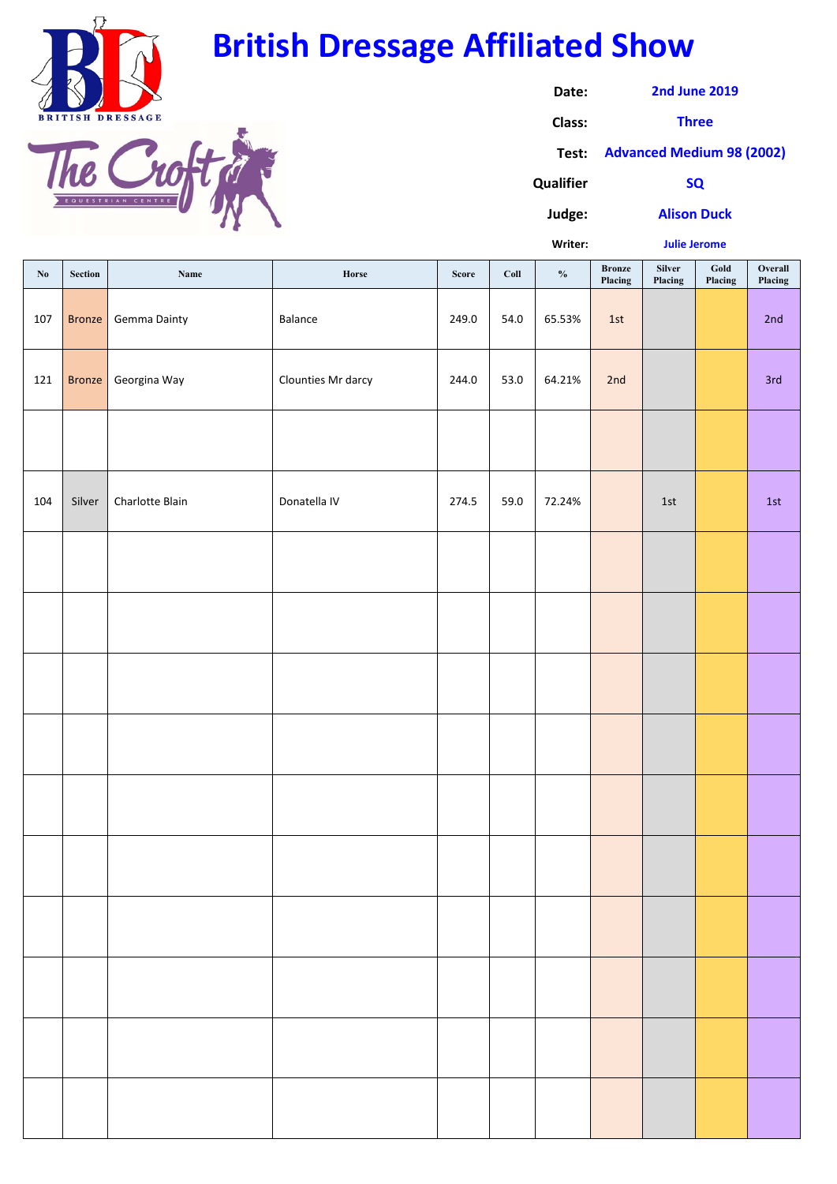**Judge:**

**Writer:**

| $\mathbf{N}\mathbf{o}$ | Section       | Name                | Horse              | <b>Score</b> | Coll | $\boldsymbol{\theta}\!/\!\boldsymbol{_{0}}$ | <b>Bronze</b><br>Placing | Silver<br>Placing | $\boldsymbol{\mathsf{Gold}}$<br>Placing | Overall<br>Placing |
|------------------------|---------------|---------------------|--------------------|--------------|------|---------------------------------------------|--------------------------|-------------------|-----------------------------------------|--------------------|
| 107                    | <b>Bronze</b> | <b>Gemma Dainty</b> | Balance            | 249.0        | 54.0 | 65.53%                                      | 1st                      |                   |                                         | 2nd                |
| 121                    | <b>Bronze</b> | Georgina Way        | Clounties Mr darcy | 244.0        | 53.0 | 64.21%                                      | 2nd                      |                   |                                         | 3rd                |
|                        |               |                     |                    |              |      |                                             |                          |                   |                                         |                    |
| 104                    | Silver        | Charlotte Blain     | Donatella IV       | 274.5        | 59.0 | 72.24%                                      |                          | $1st$             |                                         | 1st                |
|                        |               |                     |                    |              |      |                                             |                          |                   |                                         |                    |
|                        |               |                     |                    |              |      |                                             |                          |                   |                                         |                    |
|                        |               |                     |                    |              |      |                                             |                          |                   |                                         |                    |
|                        |               |                     |                    |              |      |                                             |                          |                   |                                         |                    |
|                        |               |                     |                    |              |      |                                             |                          |                   |                                         |                    |
|                        |               |                     |                    |              |      |                                             |                          |                   |                                         |                    |
|                        |               |                     |                    |              |      |                                             |                          |                   |                                         |                    |
|                        |               |                     |                    |              |      |                                             |                          |                   |                                         |                    |
|                        |               |                     |                    |              |      |                                             |                          |                   |                                         |                    |
|                        |               |                     |                    |              |      |                                             |                          |                   |                                         |                    |

| Date:            | <b>2nd June 2019</b>            |
|------------------|---------------------------------|
| Class:           | <b>Three</b>                    |
|                  | Test: Advanced Medium 98 (2002) |
| <b>Qualifier</b> | <b>SO</b>                       |

**Alison Duck**

**Julie Jerome**



| Ь          |        |  |  |
|------------|--------|--|--|
| EQUESTRIAN | CENTRE |  |  |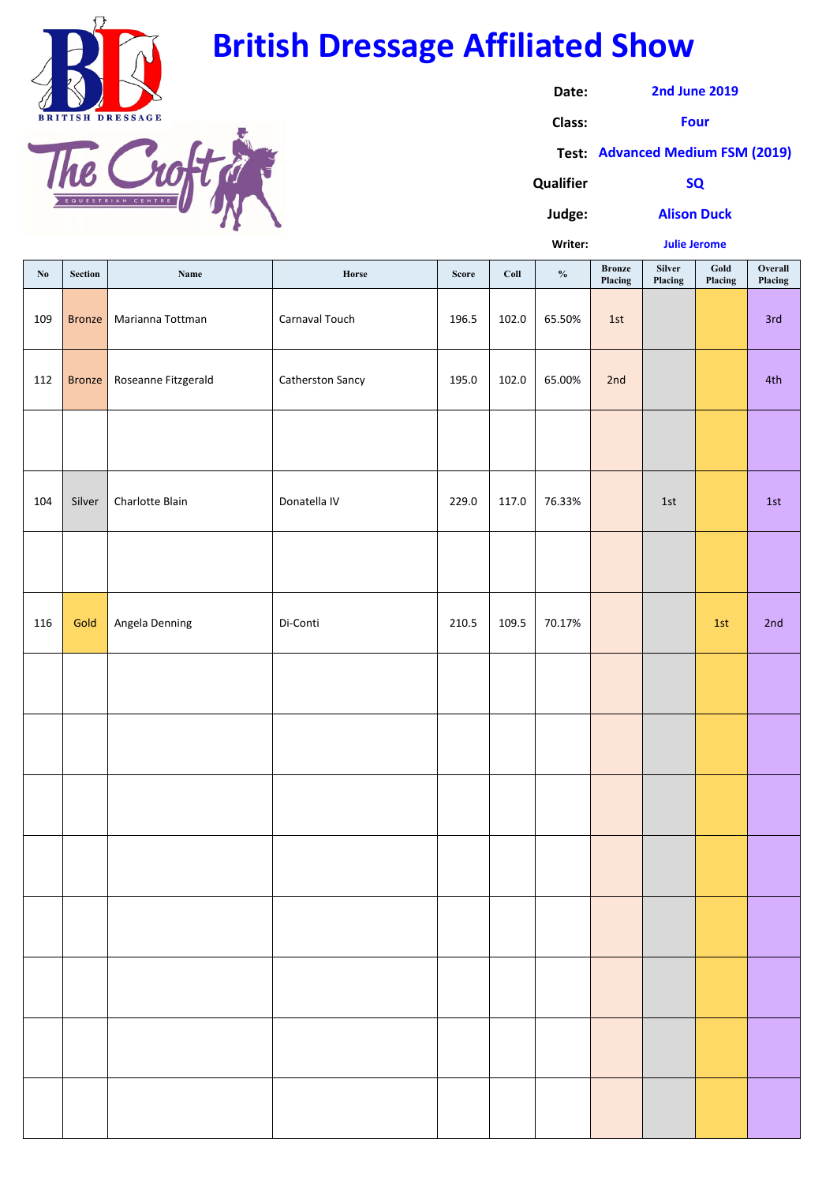**Qualifier**

**Judge:**

**Writer:**

| $\mathbf{N}\mathbf{o}$ | Section       | Name                | Horse                   | <b>Score</b> | Coll  | $\frac{0}{0}$ | <b>Bronze</b><br>Placing | <b>Silver</b><br>Placing | $\boldsymbol{\mathsf{Gold}}$<br>Placing | Overall<br>Placing |
|------------------------|---------------|---------------------|-------------------------|--------------|-------|---------------|--------------------------|--------------------------|-----------------------------------------|--------------------|
| 109                    | <b>Bronze</b> | Marianna Tottman    | Carnaval Touch          | 196.5        | 102.0 | 65.50%        | 1st                      |                          |                                         | 3rd                |
| 112                    | <b>Bronze</b> | Roseanne Fitzgerald | <b>Catherston Sancy</b> | 195.0        | 102.0 | 65.00%        | 2nd                      |                          |                                         | 4th                |
|                        |               |                     |                         |              |       |               |                          |                          |                                         |                    |
| 104                    | Silver        | Charlotte Blain     | Donatella IV            | 229.0        | 117.0 | 76.33%        |                          | 1st                      |                                         | 1st                |
|                        |               |                     |                         |              |       |               |                          |                          |                                         |                    |
| 116                    | Gold          | Angela Denning      | Di-Conti                | 210.5        | 109.5 | 70.17%        |                          |                          | 1st                                     | 2nd                |
|                        |               |                     |                         |              |       |               |                          |                          |                                         |                    |
|                        |               |                     |                         |              |       |               |                          |                          |                                         |                    |
|                        |               |                     |                         |              |       |               |                          |                          |                                         |                    |
|                        |               |                     |                         |              |       |               |                          |                          |                                         |                    |
|                        |               |                     |                         |              |       |               |                          |                          |                                         |                    |
|                        |               |                     |                         |              |       |               |                          |                          |                                         |                    |
|                        |               |                     |                         |              |       |               |                          |                          |                                         |                    |
|                        |               |                     |                         |              |       |               |                          |                          |                                         |                    |

**Date: Class: Test: Advanced Medium FSM (2019) 2nd June 2019 Four**

**Alison Duck**

**Julie Jerome**



### **British Dressage Affiliated Show**

| EQUESTRIAN CENTRE |  |
|-------------------|--|
|                   |  |

**SQ**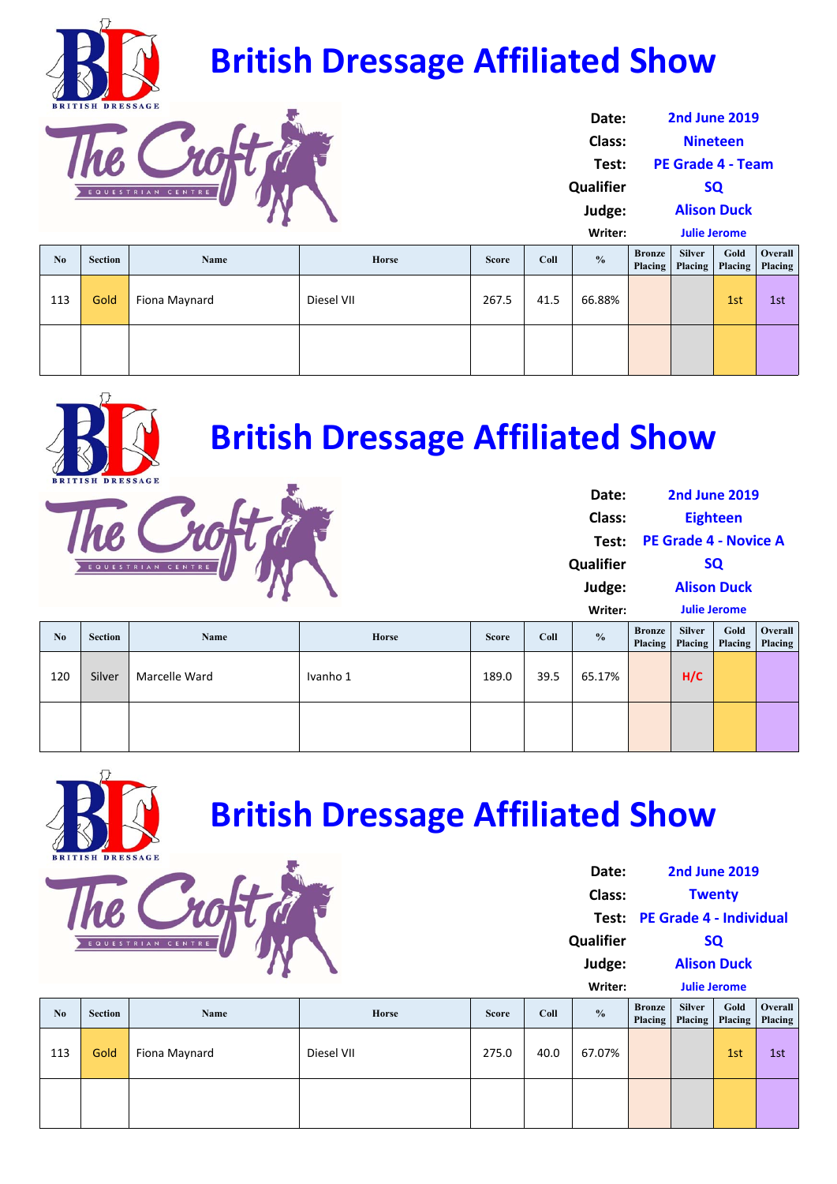| $\mathbf{N}\mathbf{0}$ | <b>Section</b> | Name          | <b>Horse</b> | <b>Score</b> | Coll | $\frac{0}{0}$ | <b>Bronze</b><br>Placing | <b>Silver</b><br>Placing | Gold | Overall<br>Placing   Placing |
|------------------------|----------------|---------------|--------------|--------------|------|---------------|--------------------------|--------------------------|------|------------------------------|
| 113                    | Gold           | Fiona Maynard | Diesel VII   | 267.5        | 41.5 | 66.88%        |                          |                          | 1st  | 1st                          |
|                        |                |               |              |              |      |               |                          |                          |      |                              |

| N <sub>0</sub> | Section | <b>Name</b>   | <b>Horse</b> | <b>Score</b> | Coll | $\frac{0}{0}$ | <b>Bronze</b><br>Placing | <b>Silver</b><br>Placing | Gold | <b>Overall</b><br>Placing   Placing |
|----------------|---------|---------------|--------------|--------------|------|---------------|--------------------------|--------------------------|------|-------------------------------------|
| 120            | Silver  | Marcelle Ward | Ivanho 1     | 189.0        | 39.5 | 65.17%        |                          | H/C                      |      |                                     |
|                |         |               |              |              |      |               |                          |                          |      |                                     |



| Date:            | <b>2nd June 2019</b>     |
|------------------|--------------------------|
| <b>Class:</b>    | <b>Nineteen</b>          |
| Test:            | <b>PE Grade 4 - Team</b> |
| <b>Qualifier</b> | <b>SQ</b>                |
| Judge:           | <b>Alison Duck</b>       |
| Writer:          | <b>Julie Jerome</b>      |

**Date:**

| N <sub>0</sub> | <b>Section</b> | Name          | Horse      | <b>Score</b> | <b>Coll</b> | $\frac{0}{0}$ | <b>Bronze</b><br>Placing | <b>Silver</b><br>Placing | Gold | Overall  <br>Placing   Placing |
|----------------|----------------|---------------|------------|--------------|-------------|---------------|--------------------------|--------------------------|------|--------------------------------|
| 113            | Gold           | Fiona Maynard | Diesel VII | 275.0        | 40.0        | 67.07%        |                          |                          | 1st  | 1st                            |
|                |                |               |            |              |             |               |                          |                          |      |                                |



# **British Dressage Affiliated Show**



**Class: Test: PE Grade 4 ‐ Individual Qualifier Judge: Writer: Placing Silver Placing Gold Placing Overall Placing Twenty SQ Alison Duck Julie Jerome**







**2nd June 2019**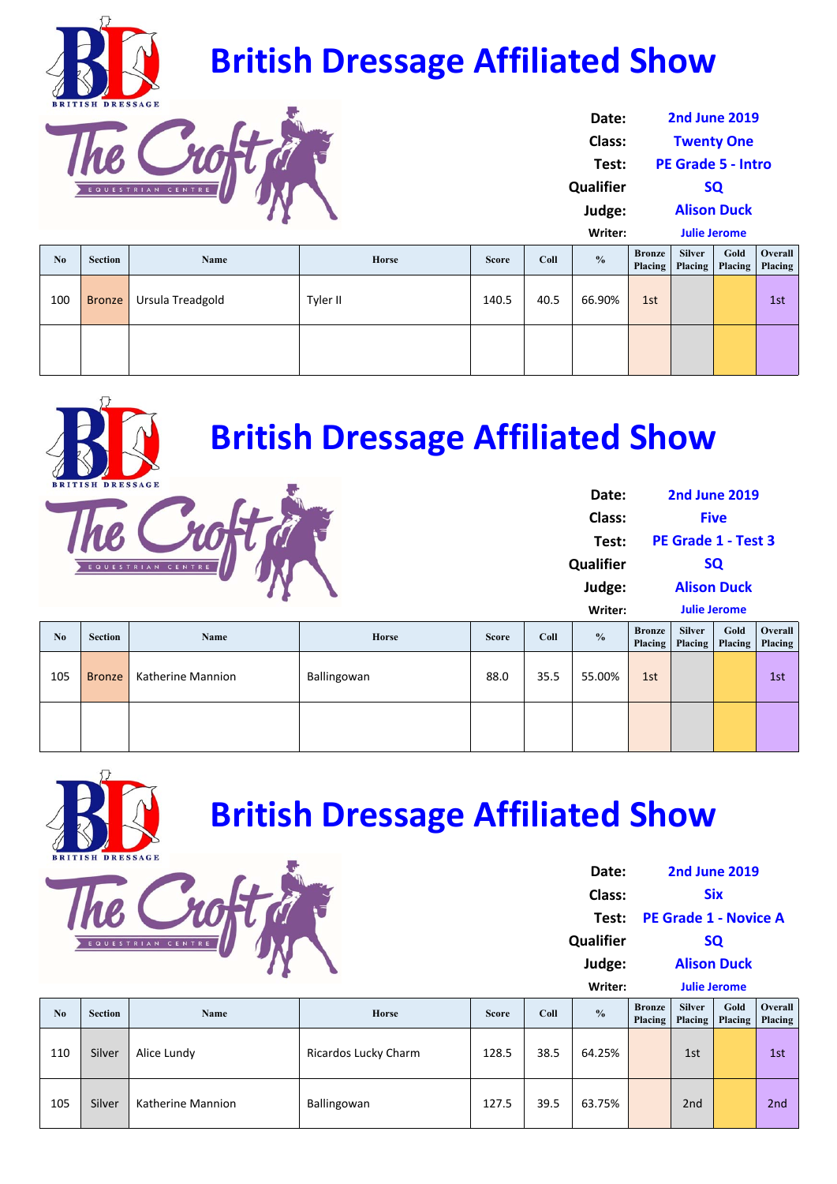| No  | <b>Section</b> | <b>Name</b>      | <b>Horse</b> | <b>Score</b> | Coll | $\frac{0}{0}$ | <b>Bronze</b><br>Placing | <b>Silver</b> | Gold<br>Placing   Placing | <b>Overall</b><br><b>Placing</b> |
|-----|----------------|------------------|--------------|--------------|------|---------------|--------------------------|---------------|---------------------------|----------------------------------|
| 100 | <b>Bronze</b>  | Ursula Treadgold | Tyler II     | 140.5        | 40.5 | 66.90%        | 1st                      |               |                           | 1st                              |
|     |                |                  |              |              |      |               |                          |               |                           |                                  |

|     |               |                   |             |      |      |        | <b>FREE</b> | <b>riacing</b> | <b>FRCHIS</b> FRCHIS |
|-----|---------------|-------------------|-------------|------|------|--------|-------------|----------------|----------------------|
| 105 | <b>Bronze</b> | Katherine Mannion | Ballingowan | 88.0 | 35.5 | 55.00% | 1st         |                | 1st                  |
|     |               |                   |             |      |      |        |             |                |                      |



| Date:         | <b>2nd June 2019</b>      |  |  |  |  |
|---------------|---------------------------|--|--|--|--|
| <b>Class:</b> | <b>Twenty One</b>         |  |  |  |  |
| Test:         | <b>PE Grade 5 - Intro</b> |  |  |  |  |
| Qualifier     | <b>SQ</b>                 |  |  |  |  |
| Judge:        | <b>Alison Duck</b>        |  |  |  |  |
| Writer:       | <b>Julie Jerome</b>       |  |  |  |  |

|                |                         |                   | <b>British Dressage Affiliated Show</b> |              |      |                        |                          |                          |                                     |                    |
|----------------|-------------------------|-------------------|-----------------------------------------|--------------|------|------------------------|--------------------------|--------------------------|-------------------------------------|--------------------|
|                | <b>BRITISH DRESSAGE</b> |                   |                                         |              |      | Date:<br><b>Class:</b> |                          |                          | <b>2nd June 2019</b><br><b>Five</b> |                    |
|                |                         |                   |                                         |              |      | Test:                  |                          |                          | PE Grade 1 - Test 3                 |                    |
|                |                         | EQUESTRIAN CENTRE |                                         |              |      | <b>Qualifier</b>       | <b>SQ</b>                |                          |                                     |                    |
|                |                         |                   |                                         |              |      | Judge:                 |                          |                          | <b>Alison Duck</b>                  |                    |
|                |                         |                   |                                         |              |      | Writer:                |                          |                          | <b>Julie Jerome</b>                 |                    |
| N <sub>0</sub> | <b>Section</b>          | <b>Name</b>       | <b>Horse</b>                            | <b>Score</b> | Coll | $\frac{0}{0}$          | <b>Bronze</b><br>Placing | <b>Silver</b><br>Placing | Gold<br>Placing                     | Overall<br>Placing |

| N <sub>0</sub> | <b>Section</b> | <b>Name</b>              | <b>Horse</b>                | <b>Score</b> | Coll | $\frac{0}{0}$ | <b>Bronze</b><br><b>Placing</b> | <b>Silver</b><br><b>Placing</b> | Gold | Overall<br>Placing   Placing |
|----------------|----------------|--------------------------|-----------------------------|--------------|------|---------------|---------------------------------|---------------------------------|------|------------------------------|
| 110            | Silver         | Alice Lundy              | <b>Ricardos Lucky Charm</b> | 128.5        | 38.5 | 64.25%        |                                 | 1st                             |      | 1st                          |
| 105            | Silver         | <b>Katherine Mannion</b> | Ballingowan                 | 127.5        | 39.5 | 63.75%        |                                 | 2nd                             |      | 2nd                          |

**Date: Class: Test: PE Grade 1 ‐ Novice A Qualifier Judge: Writer: Placing Silver Placing Gold Placing Placing Six 2nd June 2019 SQ Alison Duck Julie Jerome**